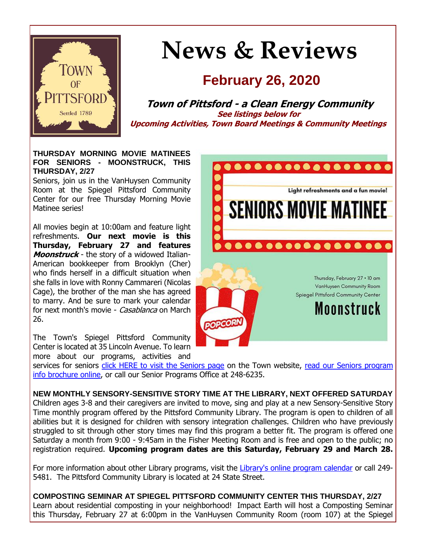

# **News & Reviews**

## **February 26, 2020**

**Town of Pittsford - a Clean Energy Community See listings below for Upcoming Activities, Town Board Meetings & Community Meetings**

#### **THURSDAY MORNING MOVIE MATINEES FOR SENIORS - MOONSTRUCK, THIS THURSDAY, 2/27**

Seniors, join us in the VanHuysen Community Room at the Spiegel Pittsford Community Center for our free Thursday Morning Movie Matinee series!

All movies begin at 10:00am and feature light refreshments. **Our next movie is this Thursday, February 27 and features Moonstruck** - the story of a widowed Italian-American bookkeeper from Brooklyn (Cher) who finds herself in a difficult situation when she falls in love with Ronny Cammareri (Nicolas Cage), the brother of the man she has agreed to marry. And be sure to mark your calendar for next month's movie - Casablanca on March 26.

The Town's Spiegel Pittsford Community Center is located at 35 Lincoln Avenue. To learn more about our programs, activities and



services for seniors [click HERE to visit the Seniors page](http://r20.rs6.net/tn.jsp?f=001kPpXBUf86BG8FPFnSv7GF5--XyvJS3LoeRgqZjmwDVNUiS5Wa3dwEOYQfEPKO-qbFWz6Rs8_I8JPU0lZQqmv39pLG3ULhmDwdO5WV9nVgaE6yK_L_9X6fikAPdLDgxBBjSA4EpNCtA4UffdH7gWPKRNWYUzl0K_rUdXUywRIwubZB8HhTNjz5C1RPG5fYFxiBt3TRAlfhP14ceXhsY8WBApmofO8cejQZPqocUKSFaxFIdpL8yiYUZ0dXFd8B96QgerpAmjSvveP6p2bfakD9Qk0Su_QY9IVwo3tu4DLTplqvXz6l4cLkQ==&c=23sk4ulKUeCyvW1mvEsnUaQ2Frh5HWkSajcKlH3wIKp_Qd3pm3pMew==&ch=cNcAou-J85Rdm5jD9SHNlen1XyRDHn2-cOUjUR9GFoCS1901UFbq_w==) on the Town website, [read our Seniors program](http://r20.rs6.net/tn.jsp?f=001kPpXBUf86BG8FPFnSv7GF5--XyvJS3LoeRgqZjmwDVNUiS5Wa3dwEHe4-QG4dD_p-uUwcb_PGLz1EC8MIhi6YdomHnvz4v4fTzCbMZTdgH1Z3vm94CT-6PncJLpyyH-MYkVnxwOzKXVGIA_CC3_LEV8otk5b1Zabp2Xp-cyPoUzVZZsTIrP0lCzXFYyLFz0J-9dVjchsJeWHWdpeUJ-6-lnN4hfGw5bPJ47UbNSl1nTg6Iy1MnKpch_bRRjSFPzkDVCwF248AtORbdvyEoxT0kV8vTK-81CE3VWCbQMwnz7_t_18VwAtk6LnQpEQbvyzseHJBxlFsrJRykmU5rWm6NhZ_gctQ4D60e7lFTc4MEILsquTvpqr0Q==&c=23sk4ulKUeCyvW1mvEsnUaQ2Frh5HWkSajcKlH3wIKp_Qd3pm3pMew==&ch=cNcAou-J85Rdm5jD9SHNlen1XyRDHn2-cOUjUR9GFoCS1901UFbq_w==)  [info brochure online,](http://r20.rs6.net/tn.jsp?f=001kPpXBUf86BG8FPFnSv7GF5--XyvJS3LoeRgqZjmwDVNUiS5Wa3dwEHe4-QG4dD_p-uUwcb_PGLz1EC8MIhi6YdomHnvz4v4fTzCbMZTdgH1Z3vm94CT-6PncJLpyyH-MYkVnxwOzKXVGIA_CC3_LEV8otk5b1Zabp2Xp-cyPoUzVZZsTIrP0lCzXFYyLFz0J-9dVjchsJeWHWdpeUJ-6-lnN4hfGw5bPJ47UbNSl1nTg6Iy1MnKpch_bRRjSFPzkDVCwF248AtORbdvyEoxT0kV8vTK-81CE3VWCbQMwnz7_t_18VwAtk6LnQpEQbvyzseHJBxlFsrJRykmU5rWm6NhZ_gctQ4D60e7lFTc4MEILsquTvpqr0Q==&c=23sk4ulKUeCyvW1mvEsnUaQ2Frh5HWkSajcKlH3wIKp_Qd3pm3pMew==&ch=cNcAou-J85Rdm5jD9SHNlen1XyRDHn2-cOUjUR9GFoCS1901UFbq_w==) or call our Senior Programs Office at 248-6235.

**NEW MONTHLY SENSORY-SENSITIVE STORY TIME AT THE LIBRARY, NEXT OFFERED SATURDAY** Children ages 3-8 and their caregivers are invited to move, sing and play at a new Sensory-Sensitive Story Time monthly program offered by the Pittsford Community Library. The program is open to children of all abilities but it is designed for children with sensory integration challenges. Children who have previously struggled to sit through other story times may find this program a better fit. The program is offered one Saturday a month from 9:00 - 9:45am in the Fisher Meeting Room and is free and open to the public; no registration required. **Upcoming program dates are this Saturday, February 29 and March 28.**

For more information about other Library programs, visit the [Library's online program calendar](http://r20.rs6.net/tn.jsp?f=001kPpXBUf86BG8FPFnSv7GF5--XyvJS3LoeRgqZjmwDVNUiS5Wa3dwEATz2K1pcjKLdo4Wa3zCk9-5bCXNgrlAo-Fk_TOb1lxe5-YlnxQI3KtiSsGl6eK8QTPpnDdHLQyEJeBczYrzX9OdJxQedatXiLYe99AXWElsLKop6xHwK5Zs6qqCzBsNe0_eByQwqb0UocPW-NQ8gMQWWac0aR8q36HRp0dfI3a-Jw7W0TZaP5uXYRQ5Aqjem6LntNJHVC_ip_9UA2-RYjndA0b6gBHtxdYmp9WuP6PbuNRulhjnwkU8fioMG9ru-J_OOVIIbehlS_WkgaLSB6EzJvSIGcrD3deUGWM9GlpRV1RIzc79AbQk22s3uM421ysl_zuhT7MU3AT3rLn5VpU=&c=23sk4ulKUeCyvW1mvEsnUaQ2Frh5HWkSajcKlH3wIKp_Qd3pm3pMew==&ch=cNcAou-J85Rdm5jD9SHNlen1XyRDHn2-cOUjUR9GFoCS1901UFbq_w==) or call 249- 5481. The Pittsford Community Library is located at 24 State Street.

**COMPOSTING SEMINAR AT SPIEGEL PITTSFORD COMMUNITY CENTER THIS THURSDAY, 2/27** Learn about residential composting in your neighborhood! Impact Earth will host a Composting Seminar this Thursday, February 27 at 6:00pm in the VanHuysen Community Room (room 107) at the Spiegel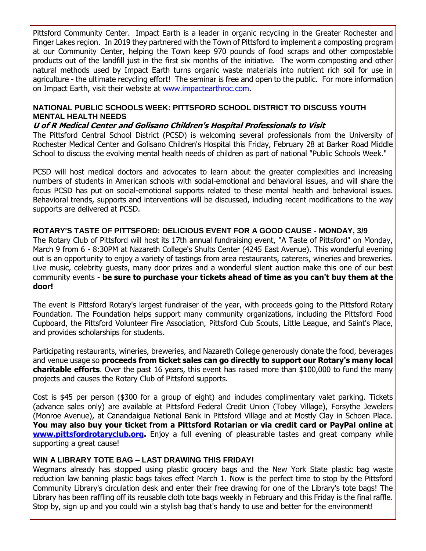Pittsford Community Center. Impact Earth is a leader in organic recycling in the Greater Rochester and Finger Lakes region. In 2019 they partnered with the Town of Pittsford to implement a composting program at our Community Center, helping the Town keep 970 pounds of food scraps and other compostable products out of the landfill just in the first six months of the initiative. The worm composting and other natural methods used by Impact Earth turns organic waste materials into nutrient rich soil for use in agriculture - the ultimate recycling effort! The seminar is free and open to the public. For more information on Impact Earth, visit their website at [www.impactearthroc.com.](http://r20.rs6.net/tn.jsp?f=001kPpXBUf86BG8FPFnSv7GF5--XyvJS3LoeRgqZjmwDVNUiS5Wa3dwEOeMRVS0Yyik4jt98qnF05ThUuUExmAi1tpuR1FBEv23PGnQIi12_O2vtmXm_9PK2W1Wsnk5tKSumsLNyjSh-Hy6guxdOW0dJJ_2W1oJSfPvRMXSKomNfxK2c4Dv_xY98fWbIo2XNsnWynp0dVE5PbgYbIYhEUwNq_jJUphu_rL5gnnpA_C7wRFK3uJM-xAdJJsfT5qi3Isq94xB7oXEGbjwXyevHWgtgcTPpgRQoxKv9SRO6Bsgdfs=&c=23sk4ulKUeCyvW1mvEsnUaQ2Frh5HWkSajcKlH3wIKp_Qd3pm3pMew==&ch=cNcAou-J85Rdm5jD9SHNlen1XyRDHn2-cOUjUR9GFoCS1901UFbq_w==)

#### **NATIONAL PUBLIC SCHOOLS WEEK: PITTSFORD SCHOOL DISTRICT TO DISCUSS YOUTH MENTAL HEALTH NEEDS**

#### **U of R Medical Center and Golisano Children's Hospital Professionals to Visit**

The Pittsford Central School District (PCSD) is welcoming several professionals from the University of Rochester Medical Center and Golisano Children's Hospital this Friday, February 28 at Barker Road Middle School to discuss the evolving mental health needs of children as part of national "Public Schools Week."

PCSD will host medical doctors and advocates to learn about the greater complexities and increasing numbers of students in American schools with social-emotional and behavioral issues, and will share the focus PCSD has put on social-emotional supports related to these mental health and behavioral issues. Behavioral trends, supports and interventions will be discussed, including recent modifications to the way supports are delivered at PCSD.

#### **ROTARY'S TASTE OF PITTSFORD: DELICIOUS EVENT FOR A GOOD CAUSE - MONDAY, 3/9**

The Rotary Club of Pittsford will host its 17th annual fundraising event, "A Taste of Pittsford" on Monday, March 9 from 6 - 8:30PM at Nazareth College's Shults Center (4245 East Avenue). This wonderful evening out is an opportunity to enjoy a variety of tastings from area restaurants, caterers, wineries and breweries. Live music, celebrity guests, many door prizes and a wonderful silent auction make this one of our best community events - **be sure to purchase your tickets ahead of time as you can't buy them at the door!**

The event is Pittsford Rotary's largest fundraiser of the year, with proceeds going to the Pittsford Rotary Foundation. The Foundation helps support many community organizations, including the Pittsford Food Cupboard, the Pittsford Volunteer Fire Association, Pittsford Cub Scouts, Little League, and Saint's Place, and provides scholarships for students.

Participating restaurants, wineries, breweries, and Nazareth College generously donate the food, beverages and venue usage so **proceeds from ticket sales can go directly to support our Rotary's many local charitable efforts**. Over the past 16 years, this event has raised more than \$100,000 to fund the many projects and causes the Rotary Club of Pittsford supports.

Cost is \$45 per person (\$300 for a group of eight) and includes complimentary valet parking. Tickets (advance sales only) are available at Pittsford Federal Credit Union (Tobey Village), Forsythe Jewelers (Monroe Avenue), at Canandaigua National Bank in Pittsford Village and at Mostly Clay in Schoen Place. **You may also buy your ticket from a Pittsford Rotarian or via credit card or PayPal online at [www.pittsfordrotaryclub.org.](http://r20.rs6.net/tn.jsp?f=001kPpXBUf86BG8FPFnSv7GF5--XyvJS3LoeRgqZjmwDVNUiS5Wa3dwEM_CGJ8tiEHt5ZVzsxX8wHxksuJv0QIrP3HWx1wvZAiBHDRHzGMb0TTShwRT5JqKp5x15qFUbmdMw70EFafaGCdVAsyuwz9bM3yM5qu25wpZ6t3ZwkBrZ6FwOIajfyhYEZbso-0xda_W3UztY6e9ahCtR6BZ41-eTFInaMiaEHtA59ZGUU7nHAs5AhtuFIV9a7nhkp1hTPBGafe3-CuDzbS3m7_Ef2l3C9DTrEfs61EPS0goV7JK3-M=&c=23sk4ulKUeCyvW1mvEsnUaQ2Frh5HWkSajcKlH3wIKp_Qd3pm3pMew==&ch=cNcAou-J85Rdm5jD9SHNlen1XyRDHn2-cOUjUR9GFoCS1901UFbq_w==)** Enjoy a full evening of pleasurable tastes and great company while supporting a great cause!

#### **WIN A LIBRARY TOTE BAG – LAST DRAWING THIS FRIDAY!**

Wegmans already has stopped using plastic grocery bags and the New York State plastic bag waste reduction law banning plastic bags takes effect March 1. Now is the perfect time to stop by the Pittsford Community Library's circulation desk and enter their free drawing for one of the Library's tote bags! The Library has been raffling off its reusable cloth tote bags weekly in February and this Friday is the final raffle. Stop by, sign up and you could win a stylish bag that's handy to use and better for the environment!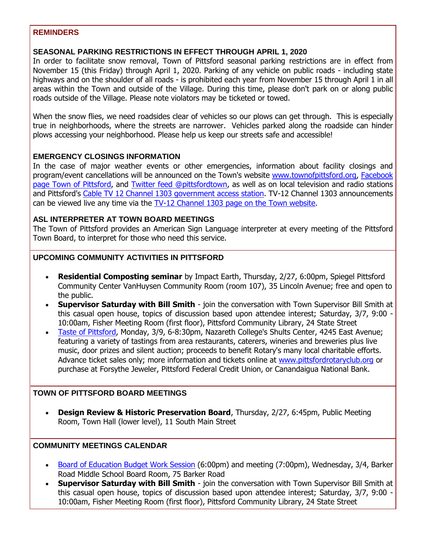#### **REMINDERS**

#### **SEASONAL PARKING RESTRICTIONS IN EFFECT THROUGH APRIL 1, 2020**

In order to facilitate snow removal, Town of Pittsford seasonal parking restrictions are in effect from November 15 (this Friday) through April 1, 2020. Parking of any vehicle on public roads - including state highways and on the shoulder of all roads - is prohibited each year from November 15 through April 1 in all areas within the Town and outside of the Village. During this time, please don't park on or along public roads outside of the Village. Please note violators may be ticketed or towed.

When the snow flies, we need roadsides clear of vehicles so our plows can get through. This is especially true in neighborhoods, where the streets are narrower. Vehicles parked along the roadside can hinder plows accessing your neighborhood. Please help us keep our streets safe and accessible!

#### **EMERGENCY CLOSINGS INFORMATION**

In the case of major weather events or other emergencies, information about facility closings and program/event cancellations will be announced on the Town's website [www.townofpittsford.org,](http://townofpittsford.org/?utm_source=eNews+2-26-20&utm_campaign=eNews+02-26-20&utm_medium=email) [Facebook](https://www.facebook.com/pages/Town-of-Pittsford/139082619464200)  [page Town of Pittsford,](https://www.facebook.com/pages/Town-of-Pittsford/139082619464200) and [Twitter feed @pittsfordtown,](http://r20.rs6.net/tn.jsp?f=001kPpXBUf86BG8FPFnSv7GF5--XyvJS3LoeRgqZjmwDVNUiS5Wa3dwEInqxOHprGr8hWwrBhPjuDNCH53ZPUM4vBwtVDzE0SDP-9MtxpCPnaVUiGjQ1Lo8I6cqeyzUqXqn1DSWolr4hTALzImKQLTm27xJjckUfzsH8zfHFHTCyIJx7EqNCDrv9w==&c=23sk4ulKUeCyvW1mvEsnUaQ2Frh5HWkSajcKlH3wIKp_Qd3pm3pMew==&ch=cNcAou-J85Rdm5jD9SHNlen1XyRDHn2-cOUjUR9GFoCS1901UFbq_w==) as well as on local television and radio stations and Pittsford's [Cable TV 12 Channel 1303 government access station.](http://townofpittsford.org/home-channel12?utm_source=eNews+2-26-20&utm_campaign=eNews+02-26-20&utm_medium=email) TV-12 Channel 1303 announcements can be viewed live any time via the [TV-12 Channel 1303 page on the Town website.](http://townofpittsford.org/home-channel12?utm_source=eNews+2-26-20&utm_campaign=eNews+02-26-20&utm_medium=email)

#### **ASL INTERPRETER AT TOWN BOARD MEETINGS**

The Town of Pittsford provides an American Sign Language interpreter at every meeting of the Pittsford Town Board, to interpret for those who need this service.

#### **UPCOMING COMMUNITY ACTIVITIES IN PITTSFORD**

- **Residential Composting seminar** by Impact Earth, Thursday, 2/27, 6:00pm, Spiegel Pittsford Community Center VanHuysen Community Room (room 107), 35 Lincoln Avenue; free and open to the public.
- **Supervisor Saturday with Bill Smith** join the conversation with Town Supervisor Bill Smith at this casual open house, topics of discussion based upon attendee interest; Saturday, 3/7, 9:00 - 10:00am, Fisher Meeting Room (first floor), Pittsford Community Library, 24 State Street
- [Taste of Pittsford,](http://r20.rs6.net/tn.jsp?f=001kPpXBUf86BG8FPFnSv7GF5--XyvJS3LoeRgqZjmwDVNUiS5Wa3dwEM_CGJ8tiEHt5ZVzsxX8wHxksuJv0QIrP3HWx1wvZAiBHDRHzGMb0TTShwRT5JqKp5x15qFUbmdMw70EFafaGCdVAsyuwz9bM3yM5qu25wpZ6t3ZwkBrZ6FwOIajfyhYEZbso-0xda_W3UztY6e9ahCtR6BZ41-eTFInaMiaEHtA59ZGUU7nHAs5AhtuFIV9a7nhkp1hTPBGafe3-CuDzbS3m7_Ef2l3C9DTrEfs61EPS0goV7JK3-M=&c=23sk4ulKUeCyvW1mvEsnUaQ2Frh5HWkSajcKlH3wIKp_Qd3pm3pMew==&ch=cNcAou-J85Rdm5jD9SHNlen1XyRDHn2-cOUjUR9GFoCS1901UFbq_w==) Monday, 3/9, 6-8:30pm, Nazareth College's Shults Center, 4245 East Avenue; featuring a variety of tastings from area restaurants, caterers, wineries and breweries plus live music, door prizes and silent auction; proceeds to benefit Rotary's many local charitable efforts. Advance ticket sales only; more information and tickets online at [www.pittsfordrotaryclub.org](http://r20.rs6.net/tn.jsp?f=001kPpXBUf86BG8FPFnSv7GF5--XyvJS3LoeRgqZjmwDVNUiS5Wa3dwEM_CGJ8tiEHt5ZVzsxX8wHxksuJv0QIrP3HWx1wvZAiBHDRHzGMb0TTShwRT5JqKp5x15qFUbmdMw70EFafaGCdVAsyuwz9bM3yM5qu25wpZ6t3ZwkBrZ6FwOIajfyhYEZbso-0xda_W3UztY6e9ahCtR6BZ41-eTFInaMiaEHtA59ZGUU7nHAs5AhtuFIV9a7nhkp1hTPBGafe3-CuDzbS3m7_Ef2l3C9DTrEfs61EPS0goV7JK3-M=&c=23sk4ulKUeCyvW1mvEsnUaQ2Frh5HWkSajcKlH3wIKp_Qd3pm3pMew==&ch=cNcAou-J85Rdm5jD9SHNlen1XyRDHn2-cOUjUR9GFoCS1901UFbq_w==) or purchase at Forsythe Jeweler, Pittsford Federal Credit Union, or Canandaigua National Bank.

#### **TOWN OF PITTSFORD BOARD MEETINGS**

 **Design Review & Historic Preservation Board**, Thursday, 2/27, 6:45pm, Public Meeting Room, Town Hall (lower level), 11 South Main Street

#### **COMMUNITY MEETINGS CALENDAR**

- [Board of Education Budget Work Session](http://r20.rs6.net/tn.jsp?f=001kPpXBUf86BG8FPFnSv7GF5--XyvJS3LoeRgqZjmwDVNUiS5Wa3dwEO0VGeOCqQd8YvqQO1vb1YJbxrVEhqiMkobRmR6KzyMzck-Dg3DBeEU-2cKjWzUDA6Rxeex4rr0IM-yBCmQ_Y10DffIo1tXNhxekCi4ca5242PTR2qim7_5VS55uWy-yjiJGLNy6vY4qisex6VV2CD4f8TP3kEU1rCMaCzOhaPt3cdjpVZtrBc8Mrp_xEeUSZfXPR0JclNmmwRZ3YsTLAUwUWVmUDjIzwi3nLz18j8l6SxBDlCOZGuyCzfz-0dukSWzVjUrziE4wk6xyZXqQgO813m7oG69hRG3aS9zVj6DgmBhtVJM-601PutL-Z6QoJqrLaygkyg7YnBIXfLq5ujZO82F8MaaXOyT1ESlejWDD&c=23sk4ulKUeCyvW1mvEsnUaQ2Frh5HWkSajcKlH3wIKp_Qd3pm3pMew==&ch=cNcAou-J85Rdm5jD9SHNlen1XyRDHn2-cOUjUR9GFoCS1901UFbq_w==) (6:00pm) and meeting (7:00pm), Wednesday, 3/4, Barker Road Middle School Board Room, 75 Barker Road
- **Supervisor Saturday with Bill Smith** join the conversation with Town Supervisor Bill Smith at this casual open house, topics of discussion based upon attendee interest; Saturday, 3/7, 9:00 - 10:00am, Fisher Meeting Room (first floor), Pittsford Community Library, 24 State Street